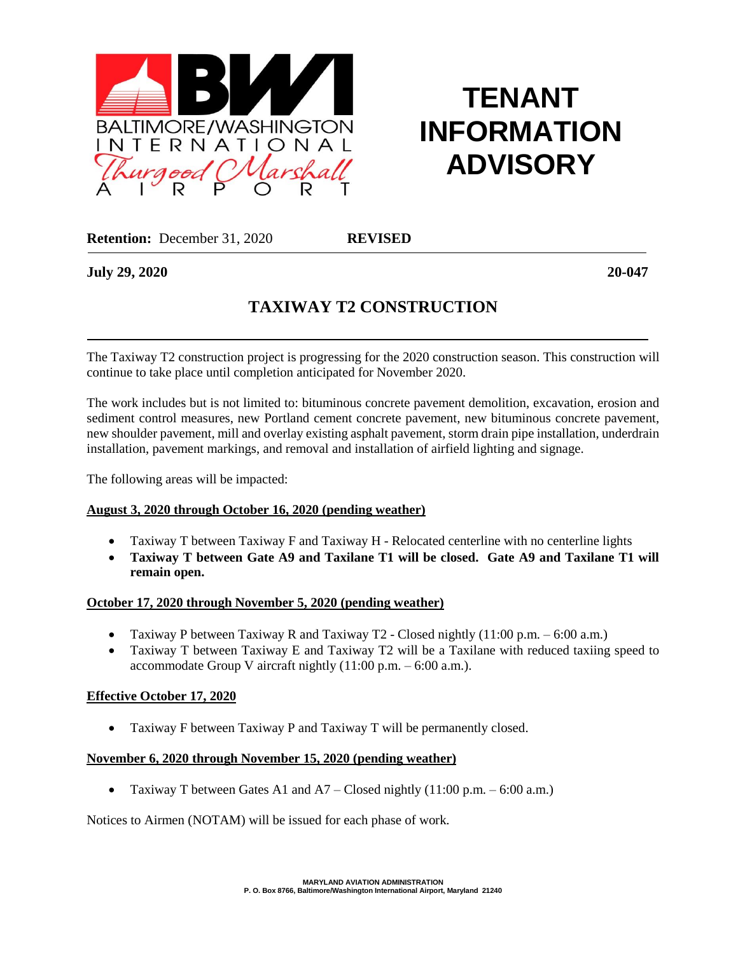

# **TENANT INFORMATION ADVISORY**

**Retention:** December 31, 2020 **REVISED**

**July 29, 2020 20-047**

## **TAXIWAY T2 CONSTRUCTION**

 The Taxiway T2 construction project is progressing for the 2020 construction season. This construction will continue to take place until completion anticipated for November 2020.

The work includes but is not limited to: bituminous concrete pavement demolition, excavation, erosion and sediment control measures, new Portland cement concrete pavement, new bituminous concrete pavement, new shoulder pavement, mill and overlay existing asphalt pavement, storm drain pipe installation, underdrain installation, pavement markings, and removal and installation of airfield lighting and signage.

The following areas will be impacted:

#### **August 3, 2020 through October 16, 2020 (pending weather)**

- Taxiway T between Taxiway F and Taxiway H Relocated centerline with no centerline lights
- **Taxiway T between Gate A9 and Taxilane T1 will be closed. Gate A9 and Taxilane T1 will remain open.**

#### **October 17, 2020 through November 5, 2020 (pending weather)**

- Taxiway P between Taxiway R and Taxiway T2 Closed nightly  $(11:00 \text{ p.m.} 6:00 \text{ a.m.})$
- Taxiway T between Taxiway E and Taxiway T2 will be a Taxilane with reduced taxiing speed to accommodate Group V aircraft nightly  $(11:00 \text{ p.m.} - 6:00 \text{ a.m.})$ .

### **Effective October 17, 2020**

• Taxiway F between Taxiway P and Taxiway T will be permanently closed.

#### **November 6, 2020 through November 15, 2020 (pending weather)**

• Taxiway T between Gates A1 and  $A7 - C$ losed nightly (11:00 p.m. – 6:00 a.m.)

Notices to Airmen (NOTAM) will be issued for each phase of work.